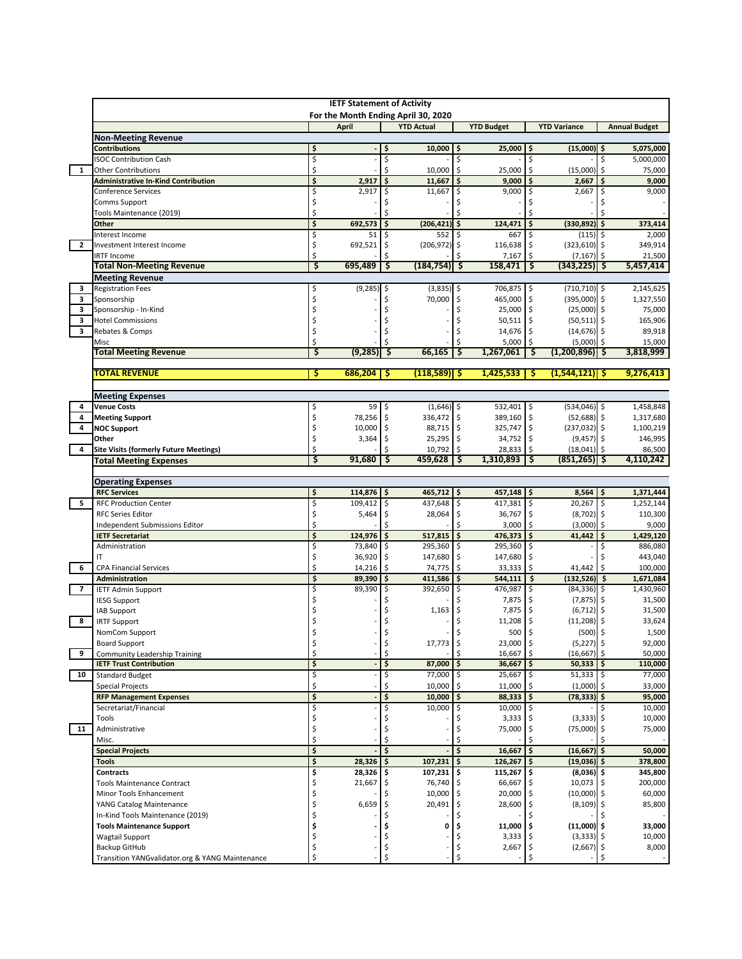|                | <b>IETF Statement of Activity</b><br>For the Month Ending April 30, 2020 |          |                   |          |                      |                            |                              |          |                               |           |                      |
|----------------|--------------------------------------------------------------------------|----------|-------------------|----------|----------------------|----------------------------|------------------------------|----------|-------------------------------|-----------|----------------------|
|                |                                                                          |          | April             |          | <b>YTD Actual</b>    |                            | <b>YTD Budget</b>            |          | <b>YTD Variance</b>           |           | <b>Annual Budget</b> |
|                | <b>Non-Meeting Revenue</b>                                               |          |                   |          |                      |                            |                              |          |                               |           |                      |
|                | <b>Contributions</b>                                                     | \$       |                   | \$       | 10,000               | \$                         | $25,000$   \$                |          | $(15,000)$ \$                 |           | 5,075,000            |
| $\mathbf{1}$   | <b>ISOC Contribution Cash</b><br><b>Other Contributions</b>              | \$<br>\$ |                   | \$<br>\$ | 10,000               |                            | \$<br>\$<br>25,000           | \$<br>\$ | (15,000)                      | \$<br>\$  | 5,000,000<br>75,000  |
|                | <b>Administrative In-Kind Contribution</b>                               | \$       | 2,917             | \$       | 11,667               | \$ ا                       | $9,000$   \$                 |          | 2,667                         | \$        | 9,000                |
|                | Conference Services                                                      | Ś        | 2,917             | Ś        | 11,667               |                            | \$<br>9,000                  | \$       | 2,667                         | \$        | 9,000                |
|                | Comms Support                                                            | \$       |                   |          |                      |                            |                              |          |                               |           |                      |
|                | Tools Maintenance (2019)                                                 | Ś        |                   |          |                      |                            |                              |          |                               |           |                      |
|                | Other                                                                    | \$       | 692,573           | \$       | $(206, 421)$ \$      |                            | 124,471                      | \$.      | (330, 892)                    | \$        | 373,414              |
| $\overline{2}$ | Interest Income<br>Investment Interest Income                            | \$<br>\$ | 51                | \$       | 552<br>(206, 972)    | \$                         | \$<br>667<br>116,638         | \$<br>\$ | $(115)$ \$<br>$(323, 610)$ \$ |           | 2,000<br>349,914     |
|                | <b>IRTF Income</b>                                                       | Ś        | 692,521           | \$       |                      |                            | 7,167                        | Ś        | (7, 167)                      | \$        | 21,500               |
|                | <b>Total Non-Meeting Revenue</b>                                         | \$       | 695,489           | ॱऽ       | (184,754) \$         |                            | 158,471                      | \$       | (343.225)                     | -\$       | 5,457,414            |
|                | <b>Meeting Revenue</b>                                                   |          |                   |          |                      |                            |                              |          |                               |           |                      |
| з              | <b>Registration Fees</b>                                                 | \$       | (9, 285)          | \$       | $(3,835)$ \$         |                            | 706,875 \$                   |          | $(710, 710)$ \$               |           | 2,145,625            |
| 3              | Sponsorship                                                              | Ś        |                   | Ś        | 70,000               | \$                         | 465,000 \$                   |          | $(395,000)$ \$                |           | 1,327,550            |
| 3              | Sponsorship - In-Kind                                                    | \$       |                   |          |                      | Ś                          | 25,000 \$                    |          | $(25,000)$ \$                 |           | 75,000               |
| 3              | <b>Hotel Commissions</b>                                                 | \$       |                   |          |                      | Ś                          | $50,511$ \$                  |          | $(50,511)$ \$                 |           | 165,906              |
| 3              | Rebates & Comps<br>Misc                                                  | \$<br>Ś  |                   |          |                      | Ś                          | 14,676 \$<br>Ś<br>$5,000$ \$ |          | $(14,676)$ \$<br>$(5,000)$ \$ |           | 89,918<br>15,000     |
|                | <b>Total Meeting Revenue</b>                                             | \$       | (9, 285)          | \$.      | 66,165               |                            | Ŝ<br>1,267,061               | \$.      | $(1,200,896)$ \$              |           | 3,818,999            |
|                |                                                                          |          |                   |          |                      |                            |                              |          |                               |           |                      |
|                | <b>TOTAL REVENUE</b>                                                     | \$       | 686,204           | -\$      | (118,589)  \$        |                            | 1,425,533                    | -S       | $(1,544,121)$ \$              |           | 9,276,413            |
|                | <b>Meeting Expenses</b>                                                  |          |                   |          |                      |                            |                              |          |                               |           |                      |
| 4              | <b>Venue Costs</b>                                                       | \$       | 59                | \$       | $(1,646)$ \$         |                            | 532,401 \$                   |          | $(534,046)$ \$                |           | 1,458,848            |
| 4              | <b>Meeting Support</b>                                                   | \$       | 78,256            | \$       | 336,472              | \$                         | 389,160                      | \$       | $(52,688)$ \$                 |           | 1,317,680            |
| 4              | <b>NOC Support</b>                                                       | \$       | 10,000            | \$       | 88,715 \$            |                            | 325,747 \$                   |          | $(237, 032)$ \$               |           | 1,100,219            |
|                | Other                                                                    | \$       | 3,364             | \$       | $25,295$ \$          |                            | 34,752 \$                    |          | $(9,457)$ \$                  |           | 146,995              |
| 4              | <b>Site Visits (formerly Future Meetings)</b>                            | \$<br>\$ | 91,680            | Ś        | 10,792 \$<br>459,628 |                            | $28,833$ \$<br>\$.           |          | (18, 041)                     | -S<br>-\$ | 86,500<br>4,110,242  |
|                | <b>Total Meeting Expenses</b>                                            |          |                   |          |                      |                            | $1,310,893$   \$             |          | (851, 265)                    |           |                      |
|                | <b>Operating Expenses</b>                                                |          |                   |          |                      |                            |                              |          |                               |           |                      |
|                | <b>RFC Services</b>                                                      | \$       | 114,876           | \$       | $465,712$ \$         |                            | $457,148$ \$                 |          | $8,564$ \$                    |           | 1,371,444            |
| 5              | <b>RFC Production Center</b>                                             | \$       | 109,412           | \$       | 437,648              | \$ ا                       | 417,381 \$                   |          | 20,267                        | l \$      | 1,252,144            |
|                | <b>RFC Series Editor</b>                                                 | \$       | 5,464             | \$       | 28,064               |                            | 36,767 \$<br>\$              |          | $(8,702)$ \$                  |           | 110,300              |
|                | Independent Submissions Editor                                           | Ś<br>Ś   |                   | Ś        |                      | Ś                          | 3,000                        | \$       | (3,000)                       | \$        | 9,000                |
|                | <b>IETF Secretariat</b><br>Administration                                | \$       | 124,976<br>73,840 | \$<br>\$ | 517,815<br>295,360   | $\ddot{\mathsf{s}}$<br>-\$ | 476,373 \$<br>295,360 \$     |          | 41,442                        | \$<br>\$  | 1,429,120<br>886,080 |
|                | ΙT                                                                       | \$       | 36,920            | \$       | 147,680              |                            | \$<br>147,680                | \$       |                               |           | 443,040              |
| 6              | <b>CPA Financial Services</b>                                            | \$       | 14,216            | \$       | 74,775 \$            |                            | $33,333$ \$                  |          | 41,442                        | l\$       | 100,000              |
|                | <b>Administration</b>                                                    | \$       | 89,390            | \$       | 411,586              | \$                         | 544,111                      | \$       | $(132, 526)$ \$               |           | 1,671,084            |
| $\overline{7}$ | <b>IETF Admin Support</b>                                                | \$       | 89,390            | \$       | 392,650              | \$                         | 476,987                      | I\$      | $(84, 336)$ \$                |           | 1,430,960            |
|                | <b>IESG Support</b>                                                      | \$       |                   |          |                      |                            | 7,875                        | \$       | $(7,875)$ \$                  |           | 31,500               |
|                | IAB Support                                                              |          |                   |          | 1,163                | \$                         | 7,875 \$                     |          | $(6, 712)$ \$                 |           | 31,500               |
| 8              | <b>IRTF Support</b><br>NomCom Support                                    | Ś        |                   | Ś        |                      | Ś<br>Ś                     | $11,208$ \$<br>500 \$        |          | $(11,208)$ \$<br>$(500)$ \$   |           | 33,624<br>1,500      |
|                | <b>Board Support</b>                                                     | \$       |                   | \$       | $17,773$ \$          |                            | 23,000 \$                    |          | $(5,227)$ \$                  |           | 92,000               |
| 9              | Community Leadership Training                                            | \$       |                   | \$       |                      |                            | 16,667 \$<br>\$              |          | (16, 667)                     | ۱\$       | 50,000               |
|                | <b>IETF Trust Contribution</b>                                           | \$       |                   | \$       | 87,000               | \$                         | $36,667$ \$                  |          | $50,333$ $\frac{1}{5}$        |           | 110,000              |
| 10             | <b>Standard Budget</b>                                                   | \$       |                   | \$       | 77,000               | -\$                        | 25,667 \$                    |          | $51,333$ \$                   |           | 77,000               |
|                | <b>Special Projects</b>                                                  | \$       |                   | \$       | 10,000               |                            | 11,000<br>\$                 |          | $(1,000)$ \$                  |           | 33,000               |
|                | <b>RFP Management Expenses</b>                                           | \$       |                   | \$       | $10,000$   \$        |                            | $88,333$ $\frac{1}{2}$       |          | $(78, 333)$ \$                |           | 95,000               |
|                | Secretariat/Financial                                                    | \$       |                   | Ś        | 10,000               |                            | \$<br>10,000 \$              |          |                               | \$        | 10,000               |
| 11             | Tools<br>Administrative                                                  | \$<br>\$ |                   | \$       |                      | Ś                          | $3,333$ \$<br>75,000         | \$       | $(3,333)$ \$<br>$(75,000)$ \$ |           | 10,000<br>75,000     |
|                | Misc.                                                                    |          |                   |          |                      |                            |                              |          |                               |           |                      |
|                | <b>Special Projects</b>                                                  | \$       |                   | \$       |                      |                            | \$<br>$16,667$   \$          |          | (16, 667)                     | \$        | 50.000               |
|                | Tools                                                                    | \$       | 28,326            |          | 107,231              | \$                         | $126,267$ \$                 |          | (19,036) \$                   |           | 378,800              |
|                | Contracts                                                                | \$       | 28,326            | \$       | $107,231$ \$         |                            | $115,267$ \$                 |          | $(8,036)$ \$                  |           | 345,800              |
|                | <b>Tools Maintenance Contract</b>                                        | \$       | 21,667            |          | 76,740 \$            |                            | 66,667 \$                    |          | 10,073 \$                     |           | 200,000              |
|                | Minor Tools Enhancement                                                  | Ś        |                   |          | 10,000               | ۱\$                        | 20,000 \$                    |          | $(10,000)$ \$                 |           | 60,000               |
|                | YANG Catalog Maintenance<br>In-Kind Tools Maintenance (2019)             | Ś        | 6,659             |          | 20,491               | \$                         | 28,600 \$                    |          | $(8, 109)$ \$                 |           | 85,800               |
|                | <b>Tools Maintenance Support</b>                                         | Ś        |                   | Ś        | 0                    | Ś                          | 11,000 \$                    |          | $(11,000)$ \$                 |           | 33,000               |
|                | <b>Wagtail Support</b>                                                   | \$       |                   | Ś        |                      | Ś                          | $3,333$ \$                   |          | $(3,333)$ \$                  |           | 10,000               |
|                | Backup GitHub                                                            | \$       |                   | \$       |                      |                            | \$<br>$2,667$ \$             |          | $(2,667)$ \$                  |           | 8,000                |
|                | Transition YANGvalidator.org & YANG Maintenance                          | \$       |                   | \$       |                      |                            | \$                           | \$       |                               | Ś.        |                      |